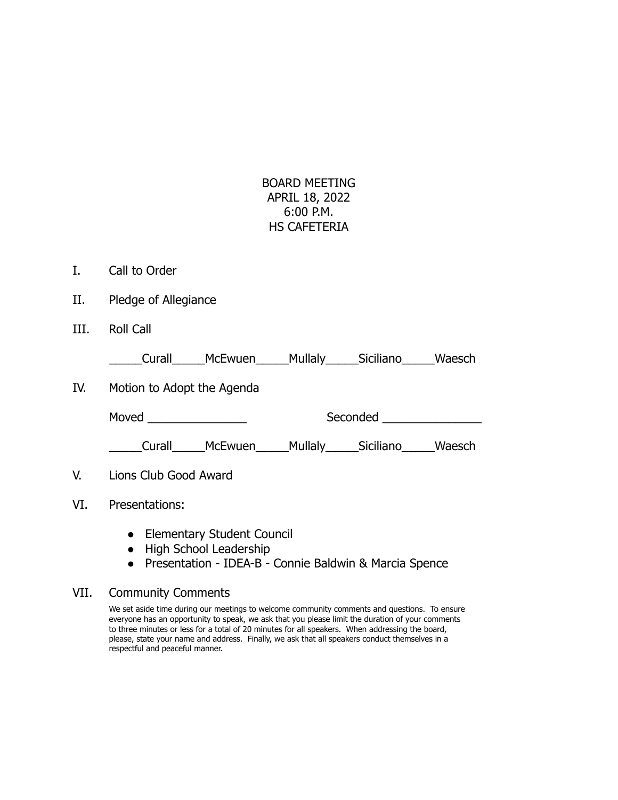## BOARD MEETING APRIL 18, 2022 6:00 P.M. HS CAFETERIA

- I. Call to Order
- II. Pledge of Allegiance
- III. Roll Call

\_\_\_\_\_Curall\_\_\_\_\_McEwuen\_\_\_\_\_Mullaly\_\_\_\_\_Siciliano\_\_\_\_\_Waesch

IV. Motion to Adopt the Agenda

Moved \_\_\_\_\_\_\_\_\_\_\_\_\_\_\_ Seconded \_\_\_\_\_\_\_\_\_\_\_\_\_\_\_

\_\_\_\_\_Curall\_\_\_\_\_McEwuen\_\_\_\_\_Mullaly\_\_\_\_\_Siciliano\_\_\_\_\_Waesch

- V. Lions Club Good Award
- VI. Presentations:
	- Elementary Student Council
	- High School Leadership
	- Presentation IDEA-B Connie Baldwin & Marcia Spence

## VII. Community Comments

We set aside time during our meetings to welcome community comments and questions. To ensure everyone has an opportunity to speak, we ask that you please limit the duration of your comments to three minutes or less for a total of 20 minutes for all speakers. When addressing the board, please, state your name and address. Finally, we ask that all speakers conduct themselves in a respectful and peaceful manner.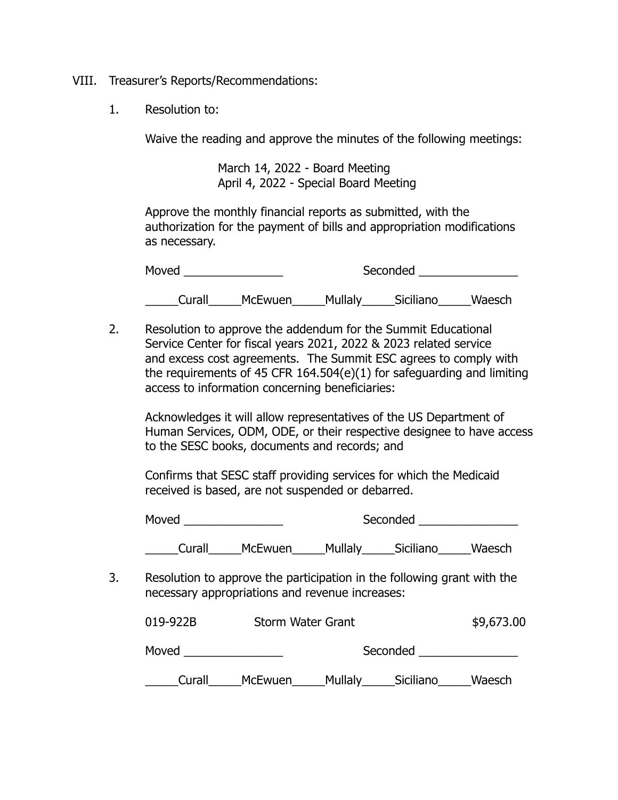- VIII. Treasurer's Reports/Recommendations:
	- 1. Resolution to:

Waive the reading and approve the minutes of the following meetings:

March 14, 2022 - Board Meeting April 4, 2022 - Special Board Meeting

Approve the monthly financial reports as submitted, with the authorization for the payment of bills and appropriation modifications as necessary.

| Moved  |                |         | Seconded  |        |
|--------|----------------|---------|-----------|--------|
| Curall | <b>McEwuen</b> | Mullaly | Siciliano | Waesch |

2. Resolution to approve the addendum for the Summit Educational Service Center for fiscal years 2021, 2022 & 2023 related service and excess cost agreements. The Summit ESC agrees to comply with the requirements of 45 CFR  $164.504(e)(1)$  for safeguarding and limiting access to information concerning beneficiaries:

Acknowledges it will allow representatives of the US Department of Human Services, ODM, ODE, or their respective designee to have access to the SESC books, documents and records; and

Confirms that SESC staff providing services for which the Medicaid received is based, are not suspended or debarred.

Moved examples a seconded seconded the seconded seconded seconded seconded seconds and second second second second

\_\_\_\_\_Curall\_\_\_\_\_McEwuen\_\_\_\_\_Mullaly\_\_\_\_\_Siciliano\_\_\_\_\_Waesch

3. Resolution to approve the participation in the following grant with the necessary appropriations and revenue increases:

| 019-922B | Storm Water Grant |         |           |        |
|----------|-------------------|---------|-----------|--------|
| Moved    | Seconded          |         |           |        |
| Curall   | McEwuen           | Mullaly | Siciliano | Waesch |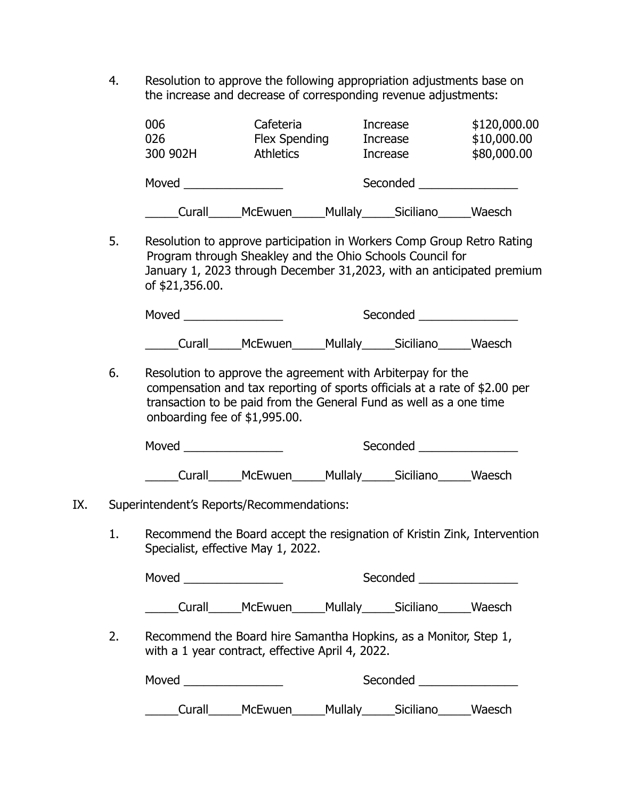4. Resolution to approve the following appropriation adjustments base on the increase and decrease of corresponding revenue adjustments:

| 006<br>026<br>300 902H | Cafeteria<br><b>Flex Spending</b><br><b>Athletics</b> |                | Increase<br>Increase<br>Increase | \$120,000.00<br>\$10,000.00<br>\$80,000.00 |
|------------------------|-------------------------------------------------------|----------------|----------------------------------|--------------------------------------------|
| Moved                  |                                                       |                | Seconded                         |                                            |
| Curall                 | <b>McEwuen</b>                                        | <b>Mullaly</b> | Siciliano                        | Waesch                                     |

5. Resolution to approve participation in Workers Comp Group Retro Rating Program through Sheakley and the Ohio Schools Council for January 1, 2023 through December 31,2023, with an anticipated premium of \$21,356.00.

| Moved  |                |         | Seconded  |        |
|--------|----------------|---------|-----------|--------|
| Curall | <b>McEwuen</b> | Mullaly | Siciliano | Waesch |

6. Resolution to approve the agreement with Arbiterpay for the compensation and tax reporting of sports officials at a rate of \$2.00 per transaction to be paid from the General Fund as well as a one time onboarding fee of \$1,995.00.

| Moved             |  |         | Seconded  |        |
|-------------------|--|---------|-----------|--------|
| McEwuen<br>Curall |  | Mullaly | Siciliano | Waesch |

- IX. Superintendent's Reports/Recommendations:
	- 1. Recommend the Board accept the resignation of Kristin Zink, Intervention Specialist, effective May 1, 2022.

|    |        |                                                                                                                      |  | Seconded ____________________   |        |
|----|--------|----------------------------------------------------------------------------------------------------------------------|--|---------------------------------|--------|
|    |        | Curall______McEwuen______Mullaly______Siciliano______Waesch                                                          |  |                                 |        |
| 2. |        | Recommend the Board hire Samantha Hopkins, as a Monitor, Step 1,<br>with a 1 year contract, effective April 4, 2022. |  |                                 |        |
|    |        |                                                                                                                      |  | Seconded ________________       |        |
|    | Curall | _McEwuen_                                                                                                            |  | _Mullaly_______Siciliano_______ | Waesch |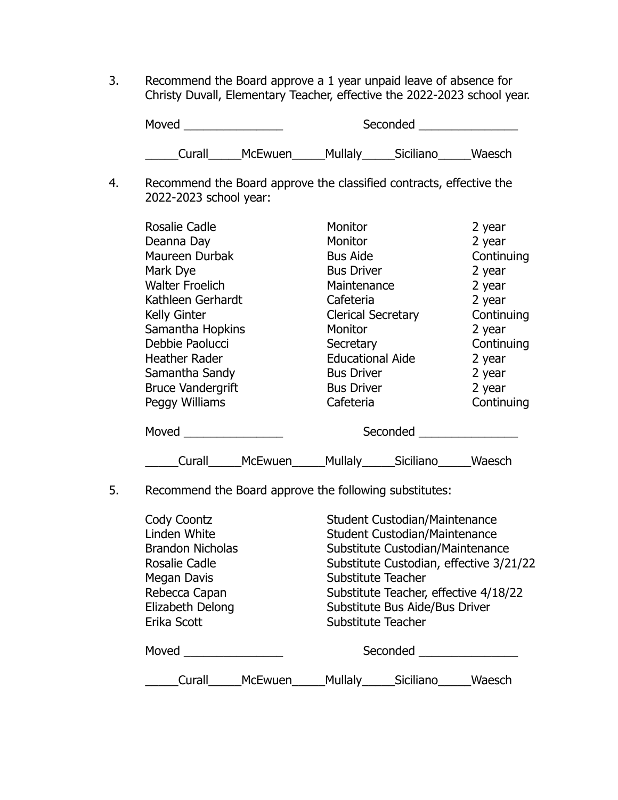3. Recommend the Board approve a 1 year unpaid leave of absence for Christy Duvall, Elementary Teacher, effective the 2022-2023 school year.

| Moved  |                | Seconded |           |        |
|--------|----------------|----------|-----------|--------|
| Curall | <b>McEwuen</b> | Mullaly  | Siciliano | Waesch |

4. Recommend the Board approve the classified contracts, effective the 2022-2023 school year:

| <b>Rosalie Cadle</b>     | Monitor                   |           | 2 year     |
|--------------------------|---------------------------|-----------|------------|
| Deanna Day               | <b>Monitor</b>            |           | 2 year     |
| Maureen Durbak           | <b>Bus Aide</b>           |           | Continuing |
| Mark Dye                 | <b>Bus Driver</b>         |           | 2 year     |
| <b>Walter Froelich</b>   | Maintenance               |           | 2 year     |
| Kathleen Gerhardt        | Cafeteria                 |           | 2 year     |
| <b>Kelly Ginter</b>      | <b>Clerical Secretary</b> |           | Continuing |
| Samantha Hopkins         | Monitor                   |           | 2 year     |
| Debbie Paolucci          | Secretary                 |           | Continuing |
| <b>Heather Rader</b>     | <b>Educational Aide</b>   |           | 2 year     |
| Samantha Sandy           | <b>Bus Driver</b>         |           | 2 year     |
| <b>Bruce Vandergrift</b> | <b>Bus Driver</b>         |           | 2 year     |
| Peggy Williams           | Cafeteria                 |           | Continuing |
| Moved                    |                           | Seconded  |            |
| McEwuen<br>Curall        | Mullaly____               | Siciliano | Waesch     |

## 5. Recommend the Board approve the following substitutes:

| Cody Coontz<br>Linden White<br><b>Brandon Nicholas</b><br>Rosalie Cadle<br>Megan Davis<br>Rebecca Capan<br>Elizabeth Delong<br>Erika Scott | <b>Student Custodian/Maintenance</b><br>Student Custodian/Maintenance<br>Substitute Custodian/Maintenance<br>Substitute Custodian, effective 3/21/22<br>Substitute Teacher<br>Substitute Teacher, effective 4/18/22<br>Substitute Bus Aide/Bus Driver<br>Substitute Teacher |
|--------------------------------------------------------------------------------------------------------------------------------------------|-----------------------------------------------------------------------------------------------------------------------------------------------------------------------------------------------------------------------------------------------------------------------------|
| Moved                                                                                                                                      | Seconded                                                                                                                                                                                                                                                                    |
| McEwuen<br>Curall                                                                                                                          | <b>Mullaly</b><br>Siciliano<br>Waesch                                                                                                                                                                                                                                       |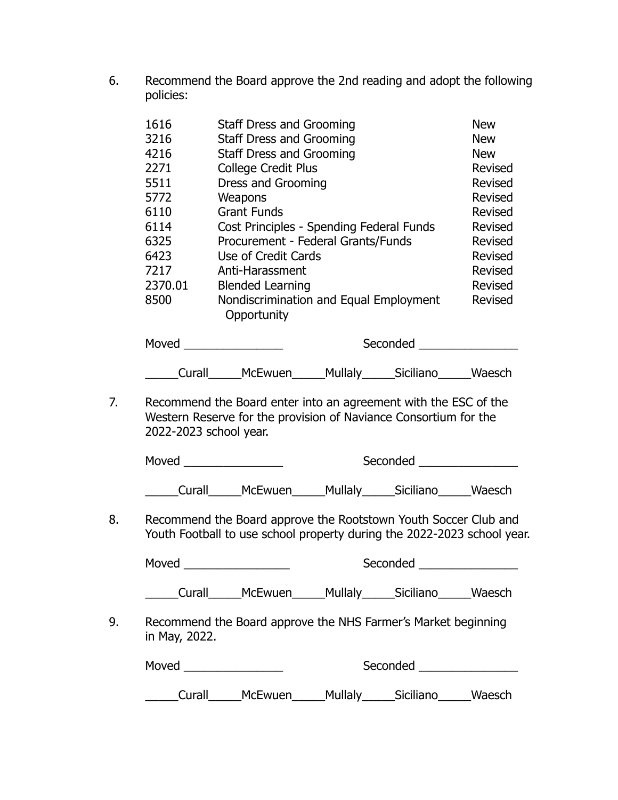6. Recommend the Board approve the 2nd reading and adopt the following policies:

|    | 1616          | <b>Staff Dress and Grooming</b>                                                                                                            |                                 |                                | <b>New</b>     |
|----|---------------|--------------------------------------------------------------------------------------------------------------------------------------------|---------------------------------|--------------------------------|----------------|
|    | 3216          |                                                                                                                                            | <b>Staff Dress and Grooming</b> |                                |                |
|    | 4216          |                                                                                                                                            | <b>Staff Dress and Grooming</b> |                                |                |
|    | 2271          |                                                                                                                                            | <b>College Credit Plus</b>      |                                |                |
|    | 5511          | Dress and Grooming                                                                                                                         |                                 |                                | Revised        |
|    | 5772          | Weapons                                                                                                                                    |                                 |                                | <b>Revised</b> |
|    | 6110          | <b>Grant Funds</b>                                                                                                                         |                                 |                                | <b>Revised</b> |
|    | 6114          | Cost Principles - Spending Federal Funds                                                                                                   |                                 |                                | <b>Revised</b> |
|    | 6325          | Procurement - Federal Grants/Funds                                                                                                         |                                 |                                | Revised        |
|    | 6423          | Use of Credit Cards                                                                                                                        |                                 |                                | Revised        |
|    | 7217          | Anti-Harassment                                                                                                                            |                                 |                                | Revised        |
|    | 2370.01       | <b>Blended Learning</b>                                                                                                                    |                                 |                                | Revised        |
|    | 8500          | Nondiscrimination and Equal Employment<br>Opportunity                                                                                      |                                 |                                | Revised        |
|    |               |                                                                                                                                            |                                 | Seconded _____________________ |                |
|    |               | ____Curall______McEwuen______Mullaly______Siciliano______Waesch                                                                            |                                 |                                |                |
|    |               | Western Reserve for the provision of Naviance Consortium for the<br>2022-2023 school year.                                                 |                                 |                                |                |
|    |               | Moved <b>Example 2019</b>                                                                                                                  |                                 | Seconded <b>Seconded</b>       |                |
|    |               | ___Curall______McEwuen______Mullaly______Siciliano______Waesch                                                                             |                                 |                                |                |
| 8. |               | Recommend the Board approve the Rootstown Youth Soccer Club and<br>Youth Football to use school property during the 2022-2023 school year. |                                 |                                |                |
|    | Moved         |                                                                                                                                            |                                 | Seconded                       |                |
|    |               | Curall______McEwuen______Mullaly______Siciliano______Waesch                                                                                |                                 |                                |                |
| 9. | in May, 2022. | Recommend the Board approve the NHS Farmer's Market beginning                                                                              |                                 |                                |                |
|    |               | Moved __________________                                                                                                                   |                                 | Seconded __________________    |                |
|    |               | Curall______McEwuen______Mullaly______Siciliano______Waesch                                                                                |                                 |                                |                |